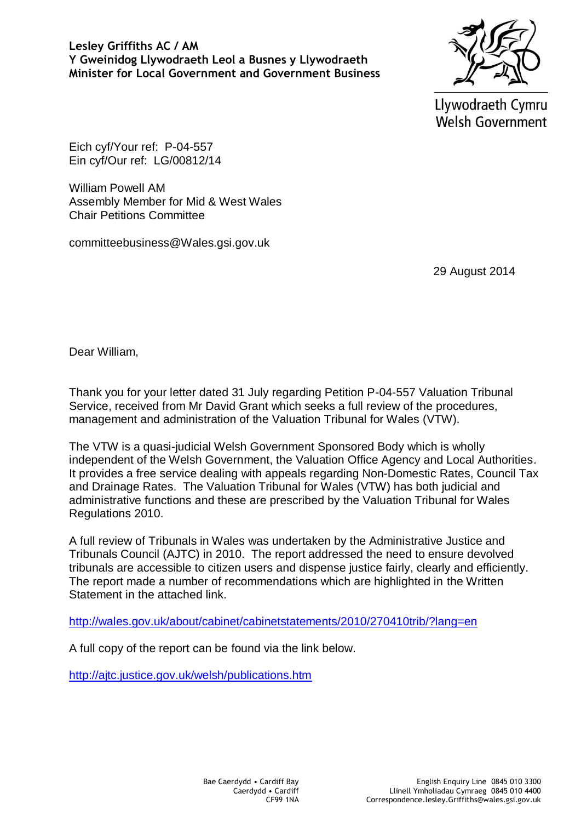Llywodraeth Cymru Welsh Government

Eich cyf/Your ref: P-04-557 Ein cyf/Our ref: LG/00812/14

William Powell AM Assembly Member for Mid & West Wales Chair Petitions Committee

committeebusiness@Wales.gsi.gov.uk

29 August 2014

Dear William,

Thank you for your letter dated 31 July regarding Petition P-04-557 Valuation Tribunal Service, received from Mr David Grant which seeks a full review of the procedures, management and administration of the Valuation Tribunal for Wales (VTW).

The VTW is a quasi-judicial Welsh Government Sponsored Body which is wholly independent of the Welsh Government, the Valuation Office Agency and Local Authorities. It provides a free service dealing with appeals regarding Non-Domestic Rates, Council Tax and Drainage Rates. The Valuation Tribunal for Wales (VTW) has both judicial and administrative functions and these are prescribed by the Valuation Tribunal for Wales Regulations 2010.

A full review of Tribunals in Wales was undertaken by the Administrative Justice and Tribunals Council (AJTC) in 2010. The report addressed the need to ensure devolved tribunals are accessible to citizen users and dispense justice fairly, clearly and efficiently. The report made a number of recommendations which are highlighted in the Written Statement in the attached link.

<http://wales.gov.uk/about/cabinet/cabinetstatements/2010/270410trib/?lang=en>

A full copy of the report can be found via the link below.

<http://ajtc.justice.gov.uk/welsh/publications.htm>